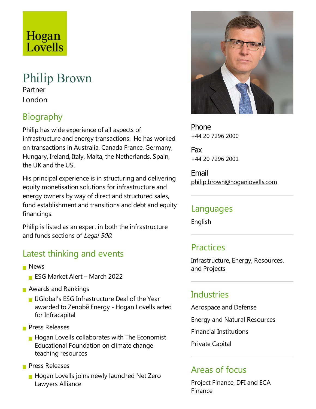# Hogan Lovells

#### Philip Brown Partner

London

# Biography

Philip has wide experience of all aspects of infrastructure and energy transactions. He has worked on transactions in Australia, Canada France, Germany, Hungary, Ireland, Italy, Malta, the Netherlands, Spain, the UK and the US.

His principal experience is in structuring and delivering equity monetisation solutions for infrastructure and energy owners by way of direct and structured sales, fund establishment and transitions and debt and equity financings.

Philip is listed as an expert in both the infrastructure and funds sections of Legal 500.

## Latest thinking and events

- **News** 
	- ESG Market Alert March 2022
- **Awards and Rankings** 
	- **I** IJGlobal's ESG Infrastructure Deal of the Year awarded to Zenobē Energy - Hogan Lovells acted for Infracapital
- **Press Releases** 
	- $\blacksquare$  Hogan Lovells collaborates with The Economist Educational Foundation on climate change teaching resources

**Press Releases** 

**Hogan Lovells joins newly launched Net Zero** Lawyers Alliance



Phone +44 20 7296 2000

Fax +44 20 7296 2001

Email philip.brown@hoganlovells.com

#### Languages

English

## **Practices**

Infrastructure, Energy, Resources, and Projects

## **Industries**

Aerospace and Defense

Energy and Natural Resources

Financial Institutions

Private Capital

#### Areas of focus

Project Finance, DFI and ECA Finance